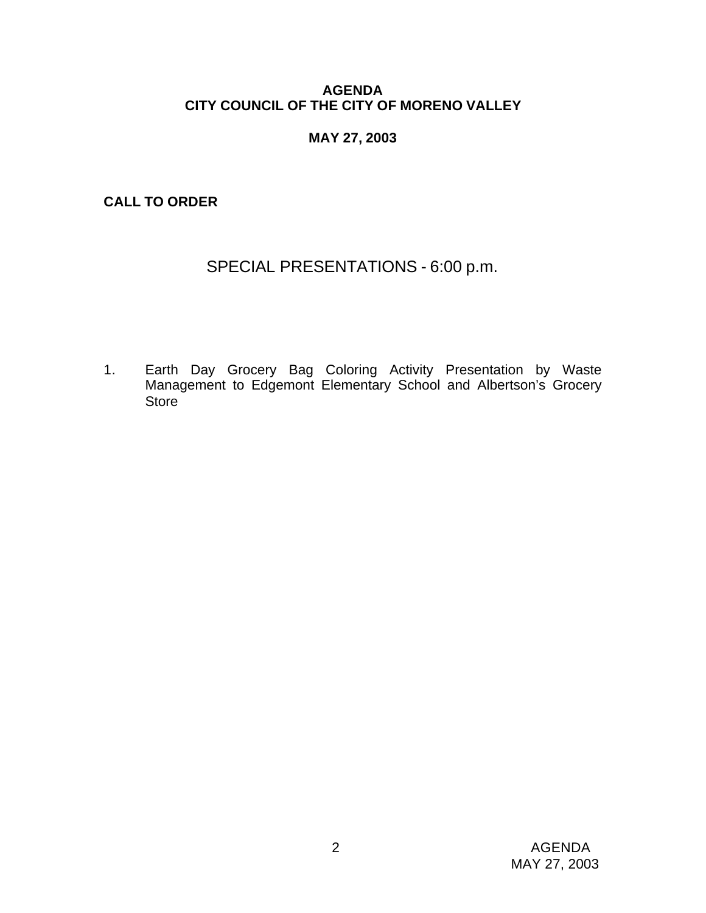# **AGENDA CITY COUNCIL OF THE CITY OF MORENO VALLEY**

# **MAY 27, 2003**

**CALL TO ORDER**

# SPECIAL PRESENTATIONS - 6:00 p.m.

1. Earth Day Grocery Bag Coloring Activity Presentation by Waste Management to Edgemont Elementary School and Albertson's Grocery **Store**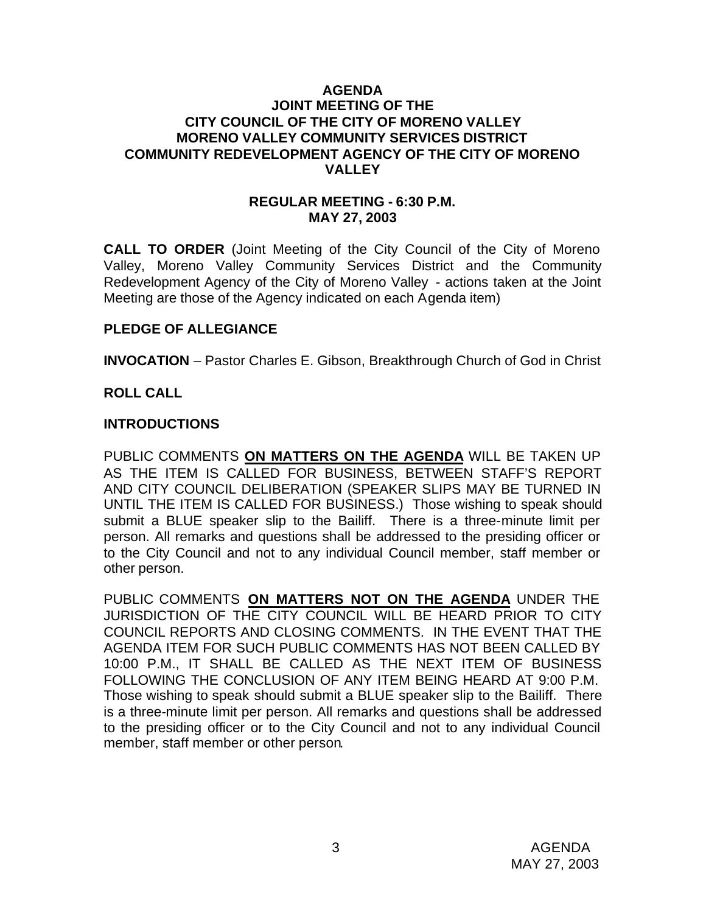### **AGENDA JOINT MEETING OF THE CITY COUNCIL OF THE CITY OF MORENO VALLEY MORENO VALLEY COMMUNITY SERVICES DISTRICT COMMUNITY REDEVELOPMENT AGENCY OF THE CITY OF MORENO VALLEY**

### **REGULAR MEETING - 6:30 P.M. MAY 27, 2003**

**CALL TO ORDER** (Joint Meeting of the City Council of the City of Moreno Valley, Moreno Valley Community Services District and the Community Redevelopment Agency of the City of Moreno Valley - actions taken at the Joint Meeting are those of the Agency indicated on each Agenda item)

# **PLEDGE OF ALLEGIANCE**

**INVOCATION** – Pastor Charles E. Gibson, Breakthrough Church of God in Christ

### **ROLL CALL**

### **INTRODUCTIONS**

PUBLIC COMMENTS **ON MATTERS ON THE AGENDA** WILL BE TAKEN UP AS THE ITEM IS CALLED FOR BUSINESS, BETWEEN STAFF'S REPORT AND CITY COUNCIL DELIBERATION (SPEAKER SLIPS MAY BE TURNED IN UNTIL THE ITEM IS CALLED FOR BUSINESS.) Those wishing to speak should submit a BLUE speaker slip to the Bailiff. There is a three-minute limit per person. All remarks and questions shall be addressed to the presiding officer or to the City Council and not to any individual Council member, staff member or other person.

PUBLIC COMMENTS **ON MATTERS NOT ON THE AGENDA** UNDER THE JURISDICTION OF THE CITY COUNCIL WILL BE HEARD PRIOR TO CITY COUNCIL REPORTS AND CLOSING COMMENTS. IN THE EVENT THAT THE AGENDA ITEM FOR SUCH PUBLIC COMMENTS HAS NOT BEEN CALLED BY 10:00 P.M., IT SHALL BE CALLED AS THE NEXT ITEM OF BUSINESS FOLLOWING THE CONCLUSION OF ANY ITEM BEING HEARD AT 9:00 P.M. Those wishing to speak should submit a BLUE speaker slip to the Bailiff. There is a three-minute limit per person. All remarks and questions shall be addressed to the presiding officer or to the City Council and not to any individual Council member, staff member or other person.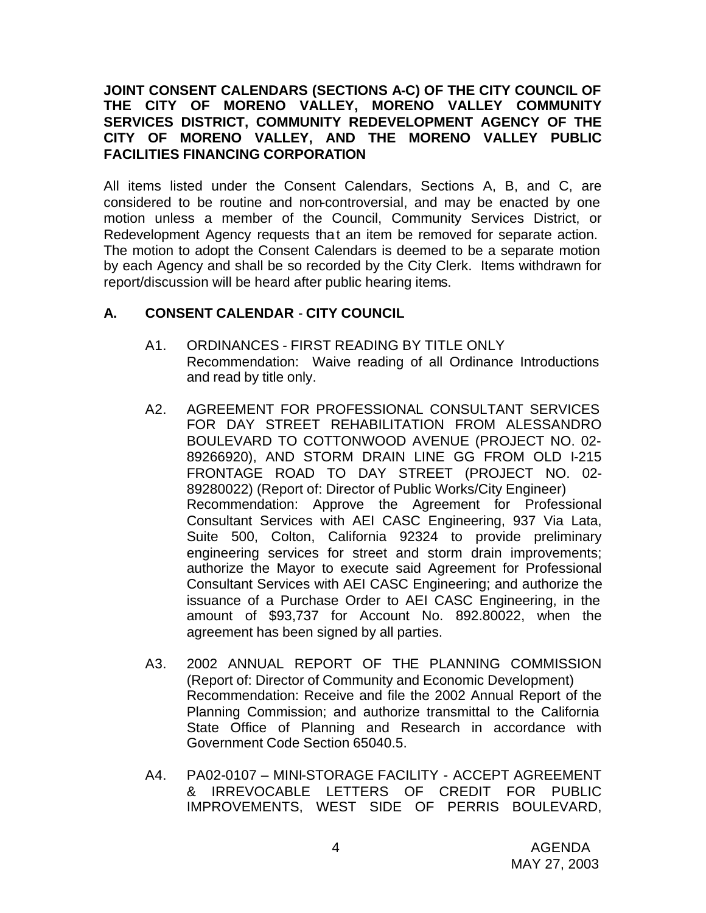# **JOINT CONSENT CALENDARS (SECTIONS A-C) OF THE CITY COUNCIL OF THE CITY OF MORENO VALLEY, MORENO VALLEY COMMUNITY SERVICES DISTRICT, COMMUNITY REDEVELOPMENT AGENCY OF THE CITY OF MORENO VALLEY, AND THE MORENO VALLEY PUBLIC FACILITIES FINANCING CORPORATION**

All items listed under the Consent Calendars, Sections A, B, and C, are considered to be routine and non-controversial, and may be enacted by one motion unless a member of the Council, Community Services District, or Redevelopment Agency requests that an item be removed for separate action. The motion to adopt the Consent Calendars is deemed to be a separate motion by each Agency and shall be so recorded by the City Clerk. Items withdrawn for report/discussion will be heard after public hearing items.

# **A. CONSENT CALENDAR** - **CITY COUNCIL**

- A1. ORDINANCES FIRST READING BY TITLE ONLY Recommendation: Waive reading of all Ordinance Introductions and read by title only.
- A2. AGREEMENT FOR PROFESSIONAL CONSULTANT SERVICES FOR DAY STREET REHABILITATION FROM ALESSANDRO BOULEVARD TO COTTONWOOD AVENUE (PROJECT NO. 02- 89266920), AND STORM DRAIN LINE GG FROM OLD I-215 FRONTAGE ROAD TO DAY STREET (PROJECT NO. 02- 89280022) (Report of: Director of Public Works/City Engineer) Recommendation: Approve the Agreement for Professional Consultant Services with AEI CASC Engineering, 937 Via Lata, Suite 500, Colton, California 92324 to provide preliminary engineering services for street and storm drain improvements; authorize the Mayor to execute said Agreement for Professional Consultant Services with AEI CASC Engineering; and authorize the issuance of a Purchase Order to AEI CASC Engineering, in the amount of \$93,737 for Account No. 892.80022, when the agreement has been signed by all parties.
- A3. 2002 ANNUAL REPORT OF THE PLANNING COMMISSION (Report of: Director of Community and Economic Development) Recommendation: Receive and file the 2002 Annual Report of the Planning Commission; and authorize transmittal to the California State Office of Planning and Research in accordance with Government Code Section 65040.5.
- A4. PA02-0107 MINI-STORAGE FACILITY ACCEPT AGREEMENT & IRREVOCABLE LETTERS OF CREDIT FOR PUBLIC IMPROVEMENTS, WEST SIDE OF PERRIS BOULEVARD,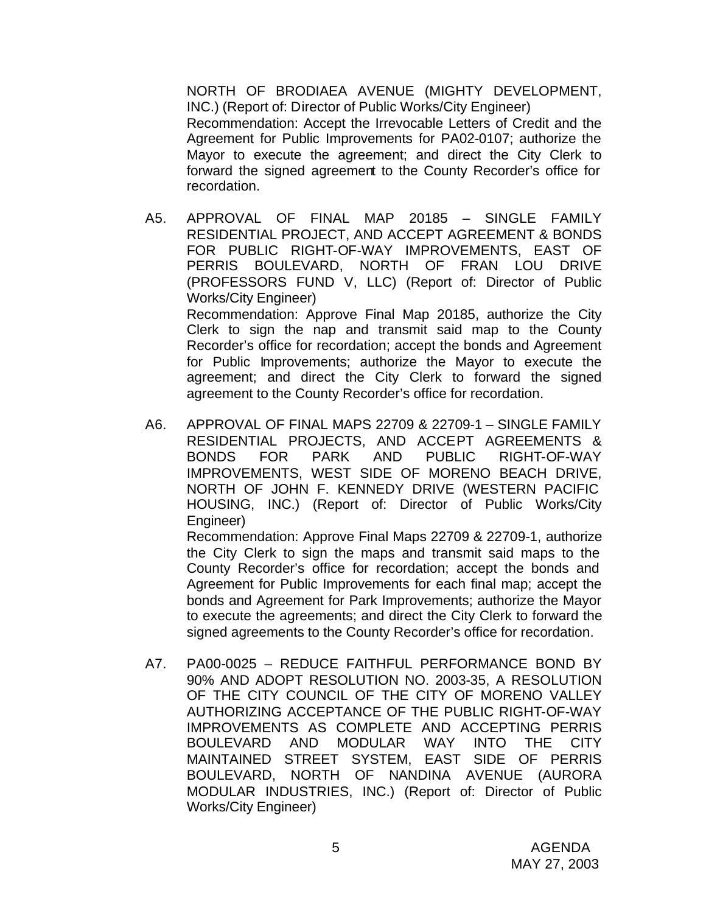NORTH OF BRODIAEA AVENUE (MIGHTY DEVELOPMENT, INC.) (Report of: Director of Public Works/City Engineer) Recommendation: Accept the Irrevocable Letters of Credit and the Agreement for Public Improvements for PA02-0107; authorize the Mayor to execute the agreement; and direct the City Clerk to forward the signed agreement to the County Recorder's office for recordation.

- A5. APPROVAL OF FINAL MAP 20185 SINGLE FAMILY RESIDENTIAL PROJECT, AND ACCEPT AGREEMENT & BONDS FOR PUBLIC RIGHT-OF-WAY IMPROVEMENTS, EAST OF PERRIS BOULEVARD, NORTH OF FRAN LOU DRIVE (PROFESSORS FUND V, LLC) (Report of: Director of Public Works/City Engineer) Recommendation: Approve Final Map 20185, authorize the City Clerk to sign the nap and transmit said map to the County Recorder's office for recordation; accept the bonds and Agreement for Public Improvements; authorize the Mayor to execute the agreement; and direct the City Clerk to forward the signed agreement to the County Recorder's office for recordation.
- A6. APPROVAL OF FINAL MAPS 22709 & 22709-1 SINGLE FAMILY RESIDENTIAL PROJECTS, AND ACCEPT AGREEMENTS & BONDS FOR PARK AND PUBLIC RIGHT-OF-WAY IMPROVEMENTS, WEST SIDE OF MORENO BEACH DRIVE, NORTH OF JOHN F. KENNEDY DRIVE (WESTERN PACIFIC HOUSING, INC.) (Report of: Director of Public Works/City Engineer) Recommendation: Approve Final Maps 22709 & 22709-1, authorize the City Clerk to sign the maps and transmit said maps to the County Recorder's office for recordation; accept the bonds and Agreement for Public Improvements for each final map; accept the bonds and Agreement for Park Improvements; authorize the Mayor to execute the agreements; and direct the City Clerk to forward the signed agreements to the County Recorder's office for recordation.
- A7. PA00-0025 REDUCE FAITHFUL PERFORMANCE BOND BY 90% AND ADOPT RESOLUTION NO. 2003-35, A RESOLUTION OF THE CITY COUNCIL OF THE CITY OF MORENO VALLEY AUTHORIZING ACCEPTANCE OF THE PUBLIC RIGHT-OF-WAY IMPROVEMENTS AS COMPLETE AND ACCEPTING PERRIS BOULEVARD AND MODULAR WAY INTO THE CITY MAINTAINED STREET SYSTEM, EAST SIDE OF PERRIS BOULEVARD, NORTH OF NANDINA AVENUE (AURORA MODULAR INDUSTRIES, INC.) (Report of: Director of Public Works/City Engineer)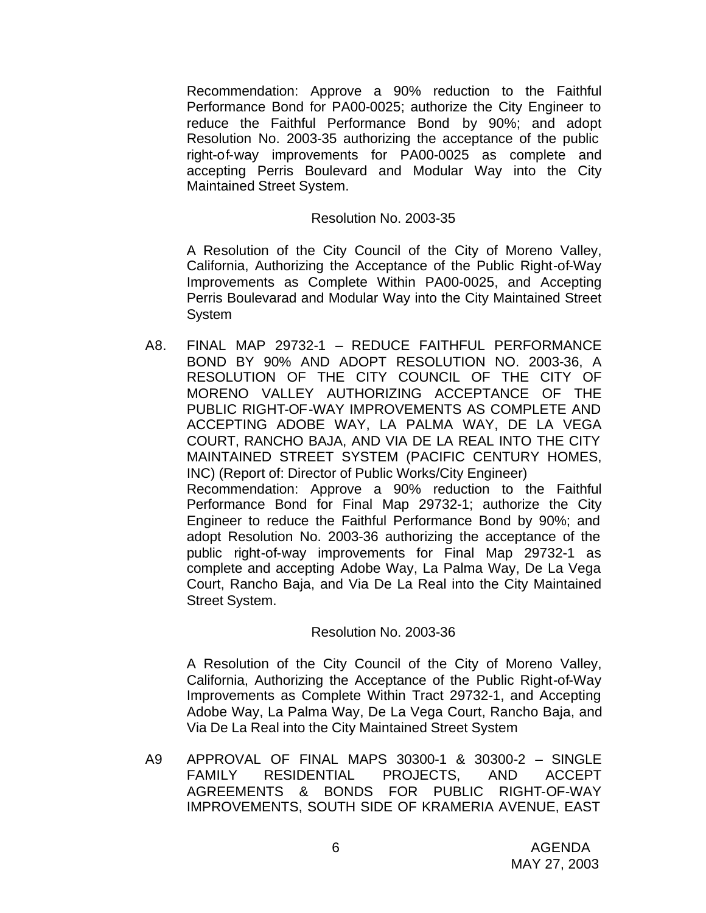Recommendation: Approve a 90% reduction to the Faithful Performance Bond for PA00-0025; authorize the City Engineer to reduce the Faithful Performance Bond by 90%; and adopt Resolution No. 2003-35 authorizing the acceptance of the public right-of-way improvements for PA00-0025 as complete and accepting Perris Boulevard and Modular Way into the City Maintained Street System.

#### Resolution No. 2003-35

A Resolution of the City Council of the City of Moreno Valley, California, Authorizing the Acceptance of the Public Right-of-Way Improvements as Complete Within PA00-0025, and Accepting Perris Boulevarad and Modular Way into the City Maintained Street System

A8. FINAL MAP 29732-1 – REDUCE FAITHFUL PERFORMANCE BOND BY 90% AND ADOPT RESOLUTION NO. 2003-36, A RESOLUTION OF THE CITY COUNCIL OF THE CITY OF MORENO VALLEY AUTHORIZING ACCEPTANCE OF THE PUBLIC RIGHT-OF-WAY IMPROVEMENTS AS COMPLETE AND ACCEPTING ADOBE WAY, LA PALMA WAY, DE LA VEGA COURT, RANCHO BAJA, AND VIA DE LA REAL INTO THE CITY MAINTAINED STREET SYSTEM (PACIFIC CENTURY HOMES, INC) (Report of: Director of Public Works/City Engineer) Recommendation: Approve a 90% reduction to the Faithful Performance Bond for Final Map 29732-1; authorize the City Engineer to reduce the Faithful Performance Bond by 90%; and adopt Resolution No. 2003-36 authorizing the acceptance of the public right-of-way improvements for Final Map 29732-1 as complete and accepting Adobe Way, La Palma Way, De La Vega Court, Rancho Baja, and Via De La Real into the City Maintained Street System.

#### Resolution No. 2003-36

A Resolution of the City Council of the City of Moreno Valley, California, Authorizing the Acceptance of the Public Right-of-Way Improvements as Complete Within Tract 29732-1, and Accepting Adobe Way, La Palma Way, De La Vega Court, Rancho Baja, and Via De La Real into the City Maintained Street System

A9 APPROVAL OF FINAL MAPS 30300-1 & 30300-2 – SINGLE FAMILY RESIDENTIAL PROJECTS, AND ACCEPT AGREEMENTS & BONDS FOR PUBLIC RIGHT-OF-WAY IMPROVEMENTS, SOUTH SIDE OF KRAMERIA AVENUE, EAST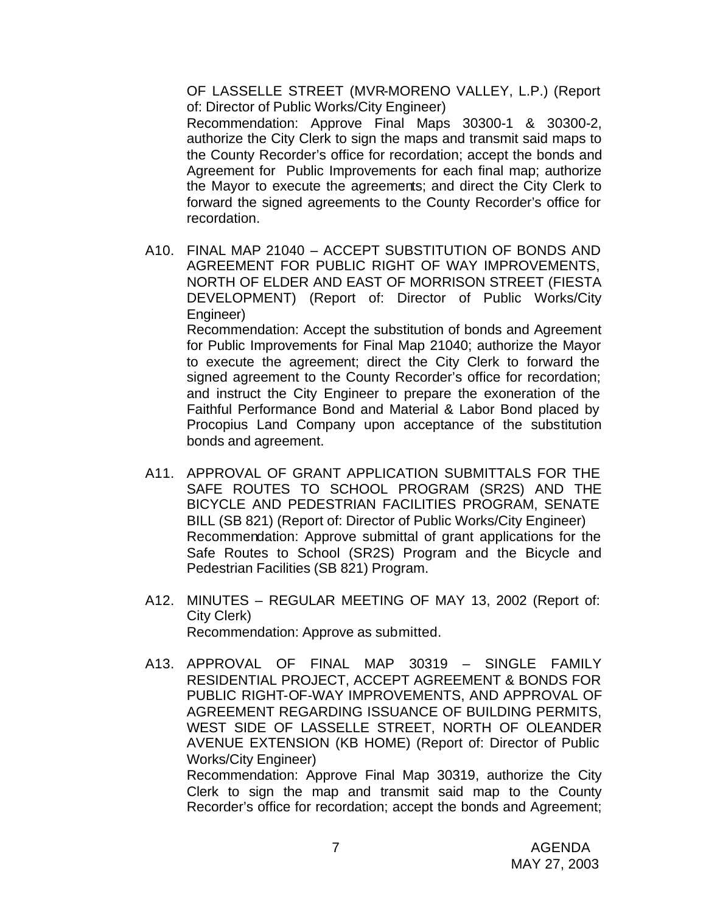OF LASSELLE STREET (MVR-MORENO VALLEY, L.P.) (Report of: Director of Public Works/City Engineer)

Recommendation: Approve Final Maps 30300-1 & 30300-2, authorize the City Clerk to sign the maps and transmit said maps to the County Recorder's office for recordation; accept the bonds and Agreement for Public Improvements for each final map; authorize the Mayor to execute the agreements; and direct the City Clerk to forward the signed agreements to the County Recorder's office for recordation.

A10. FINAL MAP 21040 – ACCEPT SUBSTITUTION OF BONDS AND AGREEMENT FOR PUBLIC RIGHT OF WAY IMPROVEMENTS, NORTH OF ELDER AND EAST OF MORRISON STREET (FIESTA DEVELOPMENT) (Report of: Director of Public Works/City Engineer) Recommendation: Accept the substitution of bonds and Agreement for Public Improvements for Final Map 21040; authorize the Mayor to execute the agreement; direct the City Clerk to forward the signed agreement to the County Recorder's office for recordation;

and instruct the City Engineer to prepare the exoneration of the Faithful Performance Bond and Material & Labor Bond placed by Procopius Land Company upon acceptance of the substitution bonds and agreement.

- A11. APPROVAL OF GRANT APPLICATION SUBMITTALS FOR THE SAFE ROUTES TO SCHOOL PROGRAM (SR2S) AND THE BICYCLE AND PEDESTRIAN FACILITIES PROGRAM, SENATE BILL (SB 821) (Report of: Director of Public Works/City Engineer) Recommendation: Approve submittal of grant applications for the Safe Routes to School (SR2S) Program and the Bicycle and Pedestrian Facilities (SB 821) Program.
- A12. MINUTES REGULAR MEETING OF MAY 13, 2002 (Report of: City Clerk) Recommendation: Approve as submitted.
- A13. APPROVAL OF FINAL MAP 30319 SINGLE FAMILY RESIDENTIAL PROJECT, ACCEPT AGREEMENT & BONDS FOR PUBLIC RIGHT-OF-WAY IMPROVEMENTS, AND APPROVAL OF AGREEMENT REGARDING ISSUANCE OF BUILDING PERMITS, WEST SIDE OF LASSELLE STREET, NORTH OF OLEANDER AVENUE EXTENSION (KB HOME) (Report of: Director of Public Works/City Engineer)

Recommendation: Approve Final Map 30319, authorize the City Clerk to sign the map and transmit said map to the County Recorder's office for recordation; accept the bonds and Agreement;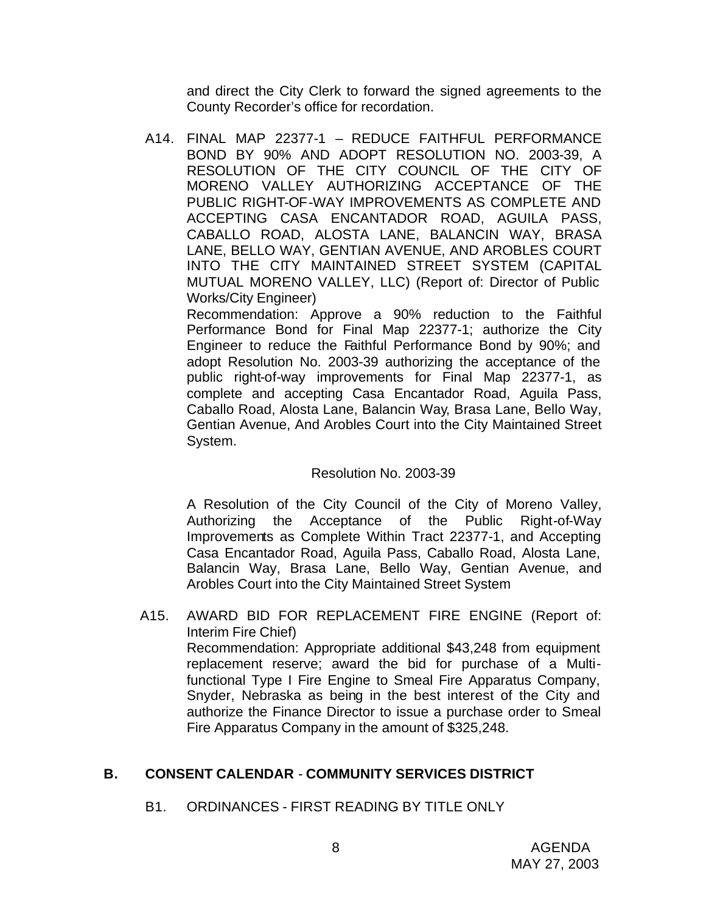and direct the City Clerk to forward the signed agreements to the County Recorder's office for recordation.

A14. FINAL MAP 22377-1 – REDUCE FAITHFUL PERFORMANCE BOND BY 90% AND ADOPT RESOLUTION NO. 2003-39, A RESOLUTION OF THE CITY COUNCIL OF THE CITY OF MORENO VALLEY AUTHORIZING ACCEPTANCE OF THE PUBLIC RIGHT-OF-WAY IMPROVEMENTS AS COMPLETE AND ACCEPTING CASA ENCANTADOR ROAD, AGUILA PASS, CABALLO ROAD, ALOSTA LANE, BALANCIN WAY, BRASA LANE, BELLO WAY, GENTIAN AVENUE, AND AROBLES COURT INTO THE CITY MAINTAINED STREET SYSTEM (CAPITAL MUTUAL MORENO VALLEY, LLC) (Report of: Director of Public Works/City Engineer)

Recommendation: Approve a 90% reduction to the Faithful Performance Bond for Final Map 22377-1; authorize the City Engineer to reduce the Faithful Performance Bond by 90%; and adopt Resolution No. 2003-39 authorizing the acceptance of the public right-of-way improvements for Final Map 22377-1, as complete and accepting Casa Encantador Road, Aguila Pass, Caballo Road, Alosta Lane, Balancin Way, Brasa Lane, Bello Way, Gentian Avenue, And Arobles Court into the City Maintained Street System.

# Resolution No. 2003-39

A Resolution of the City Council of the City of Moreno Valley, Authorizing the Acceptance of the Public Right-of-Way Improvements as Complete Within Tract 22377-1, and Accepting Casa Encantador Road, Aguila Pass, Caballo Road, Alosta Lane, Balancin Way, Brasa Lane, Bello Way, Gentian Avenue, and Arobles Court into the City Maintained Street System

A15. AWARD BID FOR REPLACEMENT FIRE ENGINE (Report of: Interim Fire Chief) Recommendation: Appropriate additional \$43,248 from equipment replacement reserve; award the bid for purchase of a Multifunctional Type I Fire Engine to Smeal Fire Apparatus Company, Snyder, Nebraska as being in the best interest of the City and authorize the Finance Director to issue a purchase order to Smeal Fire Apparatus Company in the amount of \$325,248.

# **B. CONSENT CALENDAR** - **COMMUNITY SERVICES DISTRICT**

B1. ORDINANCES - FIRST READING BY TITLE ONLY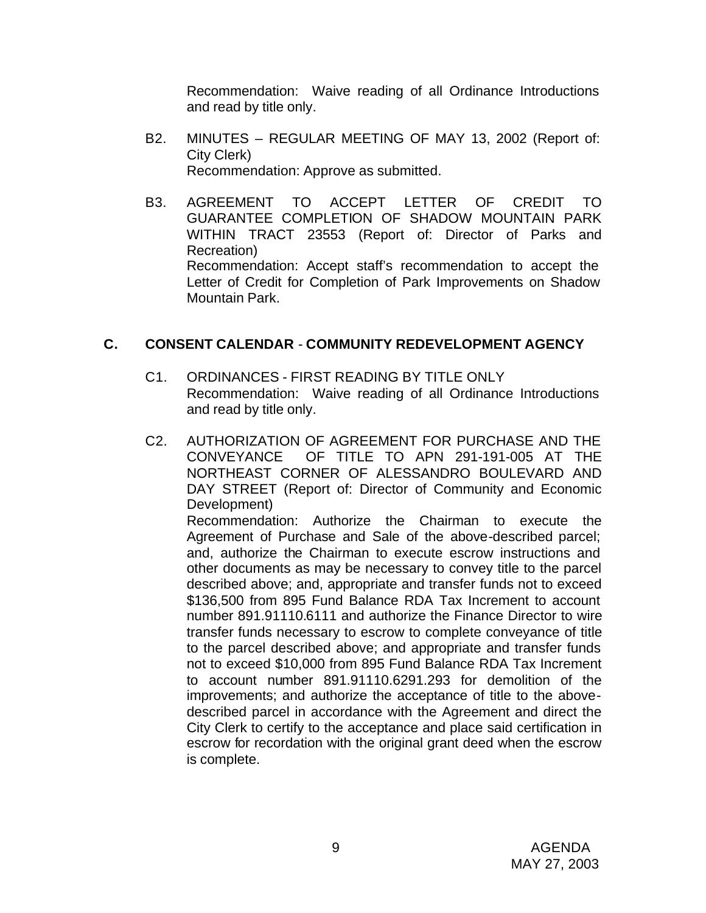Recommendation: Waive reading of all Ordinance Introductions and read by title only.

- B2. MINUTES REGULAR MEETING OF MAY 13, 2002 (Report of: City Clerk) Recommendation: Approve as submitted.
- B3. AGREEMENT TO ACCEPT LETTER OF CREDIT TO GUARANTEE COMPLETION OF SHADOW MOUNTAIN PARK WITHIN TRACT 23553 (Report of: Director of Parks and Recreation) Recommendation: Accept staff's recommendation to accept the Letter of Credit for Completion of Park Improvements on Shadow Mountain Park.

# **C. CONSENT CALENDAR** - **COMMUNITY REDEVELOPMENT AGENCY**

- C1. ORDINANCES FIRST READING BY TITLE ONLY Recommendation: Waive reading of all Ordinance Introductions and read by title only.
- C2. AUTHORIZATION OF AGREEMENT FOR PURCHASE AND THE CONVEYANCE OF TITLE TO APN 291-191-005 AT THE NORTHEAST CORNER OF ALESSANDRO BOULEVARD AND DAY STREET (Report of: Director of Community and Economic Development)

Recommendation: Authorize the Chairman to execute the Agreement of Purchase and Sale of the above-described parcel; and, authorize the Chairman to execute escrow instructions and other documents as may be necessary to convey title to the parcel described above; and, appropriate and transfer funds not to exceed \$136,500 from 895 Fund Balance RDA Tax Increment to account number 891.91110.6111 and authorize the Finance Director to wire transfer funds necessary to escrow to complete conveyance of title to the parcel described above; and appropriate and transfer funds not to exceed \$10,000 from 895 Fund Balance RDA Tax Increment to account number 891.91110.6291.293 for demolition of the improvements; and authorize the acceptance of title to the abovedescribed parcel in accordance with the Agreement and direct the City Clerk to certify to the acceptance and place said certification in escrow for recordation with the original grant deed when the escrow is complete.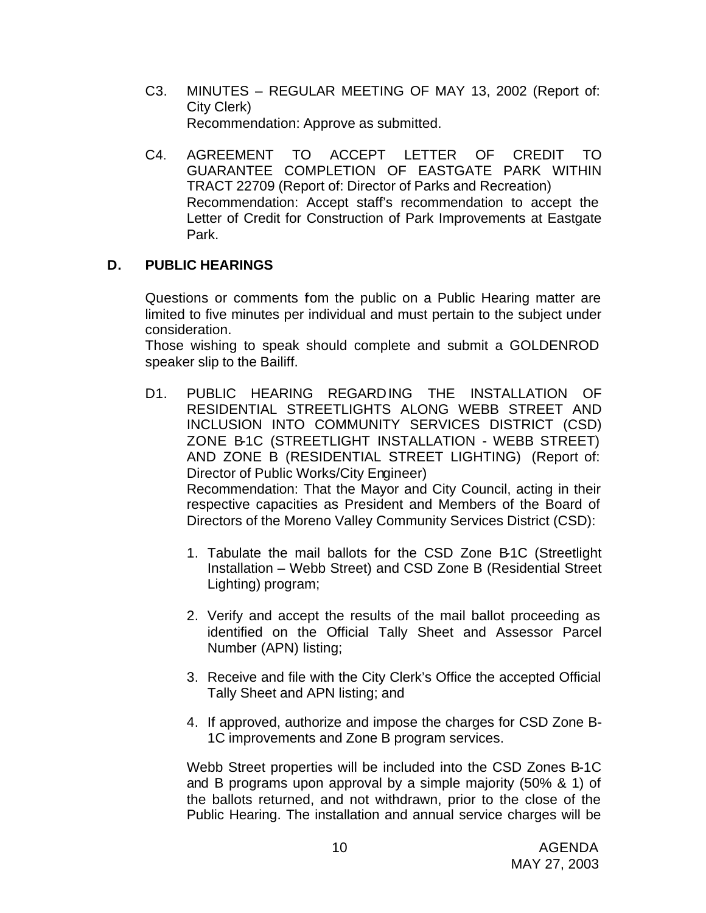- C3. MINUTES REGULAR MEETING OF MAY 13, 2002 (Report of: City Clerk) Recommendation: Approve as submitted.
- C4. AGREEMENT TO ACCEPT LETTER OF CREDIT TO GUARANTEE COMPLETION OF EASTGATE PARK WITHIN TRACT 22709 (Report of: Director of Parks and Recreation) Recommendation: Accept staff's recommendation to accept the Letter of Credit for Construction of Park Improvements at Eastgate Park.

# **D. PUBLIC HEARINGS**

Questions or comments fom the public on a Public Hearing matter are limited to five minutes per individual and must pertain to the subject under consideration.

Those wishing to speak should complete and submit a GOLDENROD speaker slip to the Bailiff.

- D1. PUBLIC HEARING REGARDING THE INSTALLATION OF RESIDENTIAL STREETLIGHTS ALONG WEBB STREET AND INCLUSION INTO COMMUNITY SERVICES DISTRICT (CSD) ZONE B-1C (STREETLIGHT INSTALLATION - WEBB STREET) AND ZONE B (RESIDENTIAL STREET LIGHTING) (Report of: Director of Public Works/City Engineer) Recommendation: That the Mayor and City Council, acting in their respective capacities as President and Members of the Board of Directors of the Moreno Valley Community Services District (CSD):
	- 1. Tabulate the mail ballots for the CSD Zone B1C (Streetlight Installation – Webb Street) and CSD Zone B (Residential Street Lighting) program;
	- 2. Verify and accept the results of the mail ballot proceeding as identified on the Official Tally Sheet and Assessor Parcel Number (APN) listing;
	- 3. Receive and file with the City Clerk's Office the accepted Official Tally Sheet and APN listing; and
	- 4. If approved, authorize and impose the charges for CSD Zone B-1C improvements and Zone B program services.

Webb Street properties will be included into the CSD Zones B-1C and B programs upon approval by a simple majority (50% & 1) of the ballots returned, and not withdrawn, prior to the close of the Public Hearing. The installation and annual service charges will be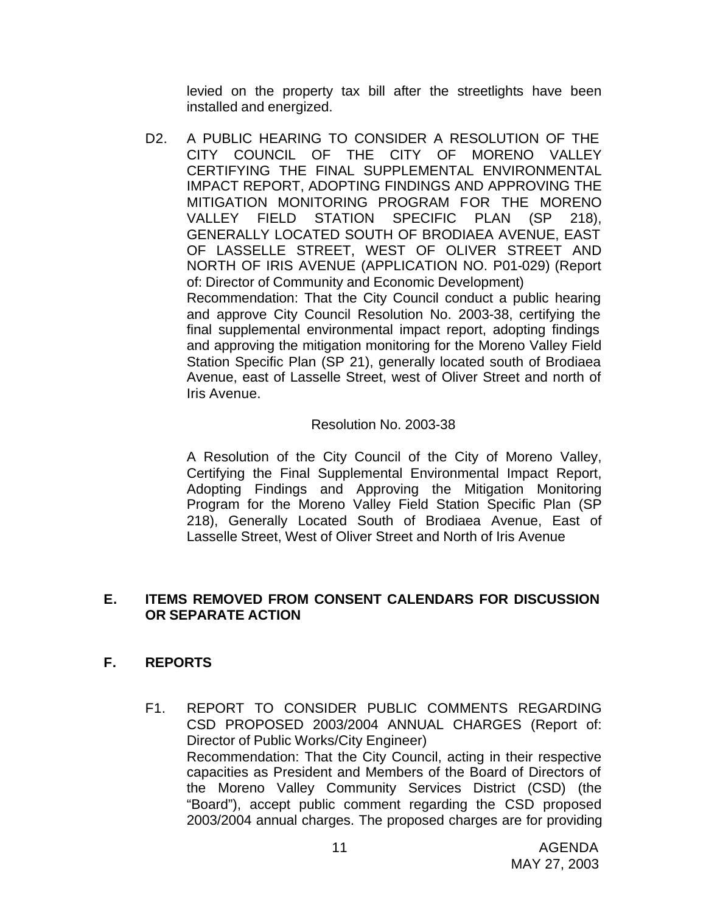levied on the property tax bill after the streetlights have been installed and energized.

D2. A PUBLIC HEARING TO CONSIDER A RESOLUTION OF THE CITY COUNCIL OF THE CITY OF MORENO VALLEY CERTIFYING THE FINAL SUPPLEMENTAL ENVIRONMENTAL IMPACT REPORT, ADOPTING FINDINGS AND APPROVING THE MITIGATION MONITORING PROGRAM FOR THE MORENO VALLEY FIELD STATION SPECIFIC PLAN (SP 218), GENERALLY LOCATED SOUTH OF BRODIAEA AVENUE, EAST OF LASSELLE STREET, WEST OF OLIVER STREET AND NORTH OF IRIS AVENUE (APPLICATION NO. P01-029) (Report of: Director of Community and Economic Development) Recommendation: That the City Council conduct a public hearing and approve City Council Resolution No. 2003-38, certifying the final supplemental environmental impact report, adopting findings and approving the mitigation monitoring for the Moreno Valley Field Station Specific Plan (SP 21), generally located south of Brodiaea Avenue, east of Lasselle Street, west of Oliver Street and north of Iris Avenue.

# Resolution No. 2003-38

A Resolution of the City Council of the City of Moreno Valley, Certifying the Final Supplemental Environmental Impact Report, Adopting Findings and Approving the Mitigation Monitoring Program for the Moreno Valley Field Station Specific Plan (SP 218), Generally Located South of Brodiaea Avenue, East of Lasselle Street, West of Oliver Street and North of Iris Avenue

# **E. ITEMS REMOVED FROM CONSENT CALENDARS FOR DISCUSSION OR SEPARATE ACTION**

# **F. REPORTS**

F1. REPORT TO CONSIDER PUBLIC COMMENTS REGARDING CSD PROPOSED 2003/2004 ANNUAL CHARGES (Report of: Director of Public Works/City Engineer) Recommendation: That the City Council, acting in their respective capacities as President and Members of the Board of Directors of the Moreno Valley Community Services District (CSD) (the "Board"), accept public comment regarding the CSD proposed 2003/2004 annual charges. The proposed charges are for providing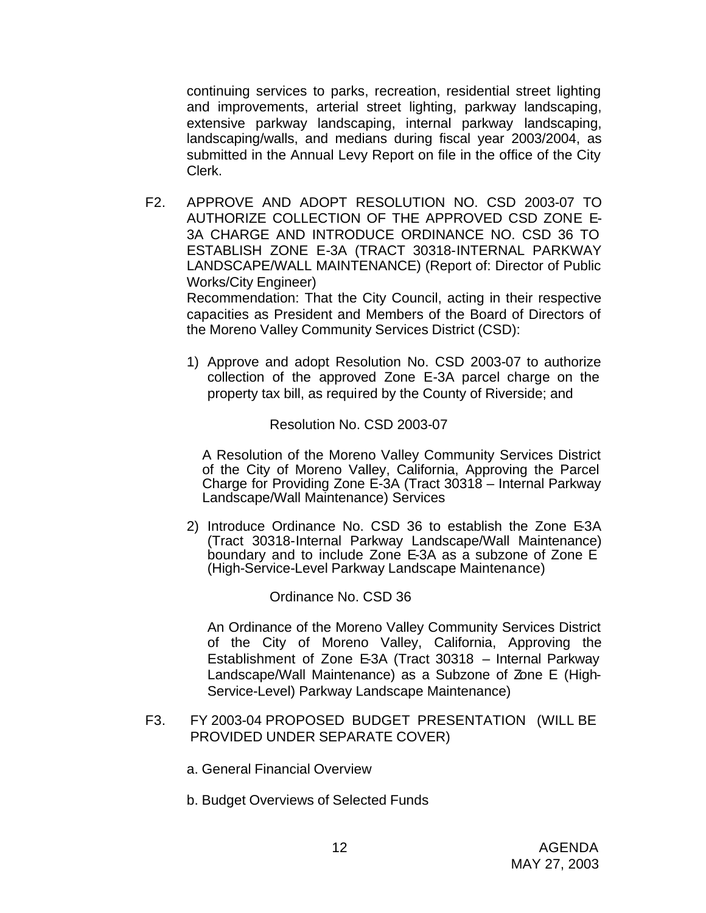continuing services to parks, recreation, residential street lighting and improvements, arterial street lighting, parkway landscaping, extensive parkway landscaping, internal parkway landscaping, landscaping/walls, and medians during fiscal year 2003/2004, as submitted in the Annual Levy Report on file in the office of the City Clerk.

F2. APPROVE AND ADOPT RESOLUTION NO. CSD 2003-07 TO AUTHORIZE COLLECTION OF THE APPROVED CSD ZONE E-3A CHARGE AND INTRODUCE ORDINANCE NO. CSD 36 TO ESTABLISH ZONE E-3A (TRACT 30318-INTERNAL PARKWAY LANDSCAPE/WALL MAINTENANCE) (Report of: Director of Public Works/City Engineer) Recommendation: That the City Council, acting in their respective

capacities as President and Members of the Board of Directors of the Moreno Valley Community Services District (CSD):

1) Approve and adopt Resolution No. CSD 2003-07 to authorize collection of the approved Zone E-3A parcel charge on the property tax bill, as required by the County of Riverside; and

Resolution No. CSD 2003-07

A Resolution of the Moreno Valley Community Services District of the City of Moreno Valley, California, Approving the Parcel Charge for Providing Zone E-3A (Tract 30318 – Internal Parkway Landscape/Wall Maintenance) Services

2) Introduce Ordinance No. CSD 36 to establish the Zone E-3A (Tract 30318-Internal Parkway Landscape/Wall Maintenance) boundary and to include Zone E-3A as a subzone of Zone E (High-Service-Level Parkway Landscape Maintenance)

# Ordinance No. CSD 36

An Ordinance of the Moreno Valley Community Services District of the City of Moreno Valley, California, Approving the Establishment of Zone E-3A (Tract 30318 – Internal Parkway Landscape/Wall Maintenance) as a Subzone of Zone E (High-Service-Level) Parkway Landscape Maintenance)

- F3. FY 2003-04 PROPOSED BUDGET PRESENTATION (WILL BE PROVIDED UNDER SEPARATE COVER)
	- a. General Financial Overview
	- b. Budget Overviews of Selected Funds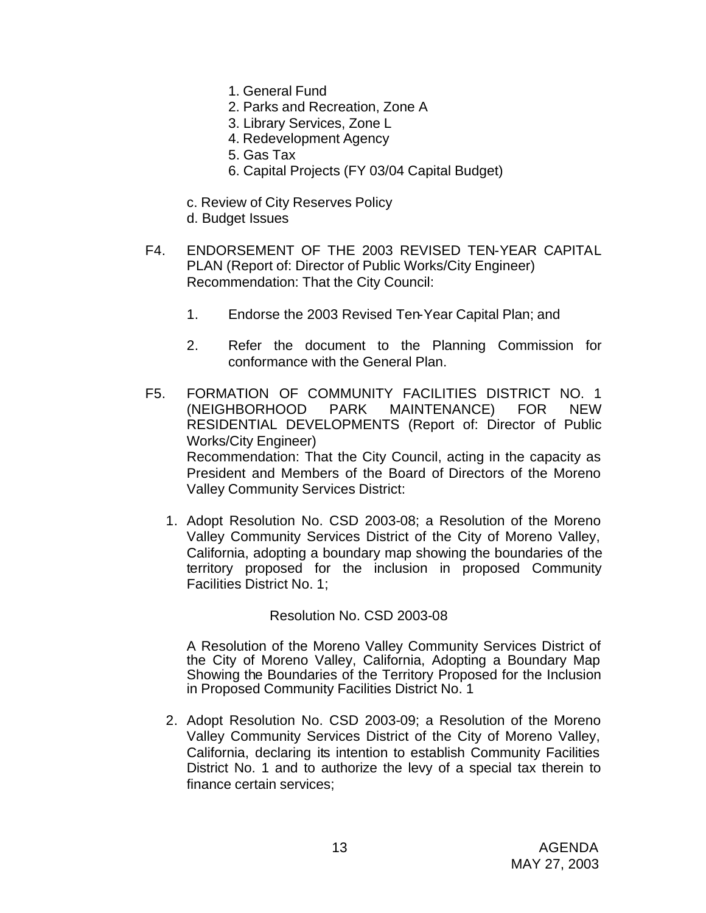- 1. General Fund
- 2. Parks and Recreation, Zone A
- 3. Library Services, Zone L
- 4. Redevelopment Agency
- 5. Gas Tax
- 6. Capital Projects (FY 03/04 Capital Budget)
- c. Review of City Reserves Policy
- d. Budget Issues
- F4. ENDORSEMENT OF THE 2003 REVISED TEN-YEAR CAPITAL PLAN (Report of: Director of Public Works/City Engineer) Recommendation: That the City Council:
	- 1. Endorse the 2003 Revised Ten-Year Capital Plan; and
	- 2. Refer the document to the Planning Commission for conformance with the General Plan.
- F5. FORMATION OF COMMUNITY FACILITIES DISTRICT NO. 1 (NEIGHBORHOOD PARK MAINTENANCE) FOR NEW RESIDENTIAL DEVELOPMENTS (Report of: Director of Public Works/City Engineer) Recommendation: That the City Council, acting in the capacity as President and Members of the Board of Directors of the Moreno Valley Community Services District:
	- 1. Adopt Resolution No. CSD 2003-08; a Resolution of the Moreno Valley Community Services District of the City of Moreno Valley, California, adopting a boundary map showing the boundaries of the territory proposed for the inclusion in proposed Community Facilities District No. 1;

#### Resolution No. CSD 2003-08

A Resolution of the Moreno Valley Community Services District of the City of Moreno Valley, California, Adopting a Boundary Map Showing the Boundaries of the Territory Proposed for the Inclusion in Proposed Community Facilities District No. 1

2. Adopt Resolution No. CSD 2003-09; a Resolution of the Moreno Valley Community Services District of the City of Moreno Valley, California, declaring its intention to establish Community Facilities District No. 1 and to authorize the levy of a special tax therein to finance certain services;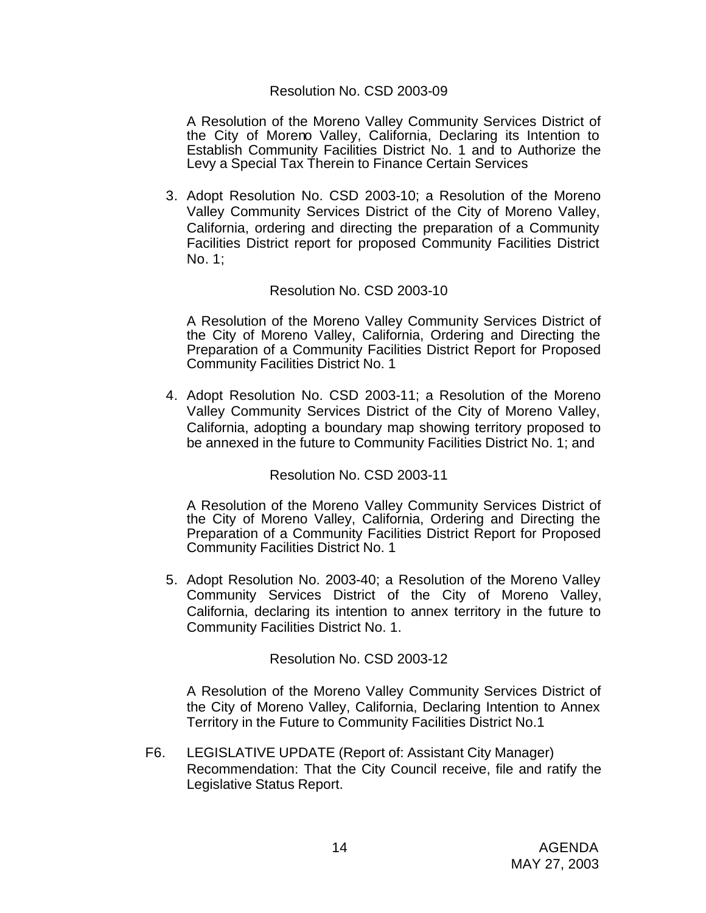### Resolution No. CSD 2003-09

A Resolution of the Moreno Valley Community Services District of the City of Moreno Valley, California, Declaring its Intention to Establish Community Facilities District No. 1 and to Authorize the Levy a Special Tax Therein to Finance Certain Services

3. Adopt Resolution No. CSD 2003-10; a Resolution of the Moreno Valley Community Services District of the City of Moreno Valley, California, ordering and directing the preparation of a Community Facilities District report for proposed Community Facilities District No. 1;

### Resolution No. CSD 2003-10

A Resolution of the Moreno Valley Community Services District of the City of Moreno Valley, California, Ordering and Directing the Preparation of a Community Facilities District Report for Proposed Community Facilities District No. 1

4. Adopt Resolution No. CSD 2003-11; a Resolution of the Moreno Valley Community Services District of the City of Moreno Valley, California, adopting a boundary map showing territory proposed to be annexed in the future to Community Facilities District No. 1; and

Resolution No. CSD 2003-11

A Resolution of the Moreno Valley Community Services District of the City of Moreno Valley, California, Ordering and Directing the Preparation of a Community Facilities District Report for Proposed Community Facilities District No. 1

5. Adopt Resolution No. 2003-40; a Resolution of the Moreno Valley Community Services District of the City of Moreno Valley, California, declaring its intention to annex territory in the future to Community Facilities District No. 1.

Resolution No. CSD 2003-12

A Resolution of the Moreno Valley Community Services District of the City of Moreno Valley, California, Declaring Intention to Annex Territory in the Future to Community Facilities District No.1

F6. LEGISLATIVE UPDATE (Report of: Assistant City Manager) Recommendation: That the City Council receive, file and ratify the Legislative Status Report.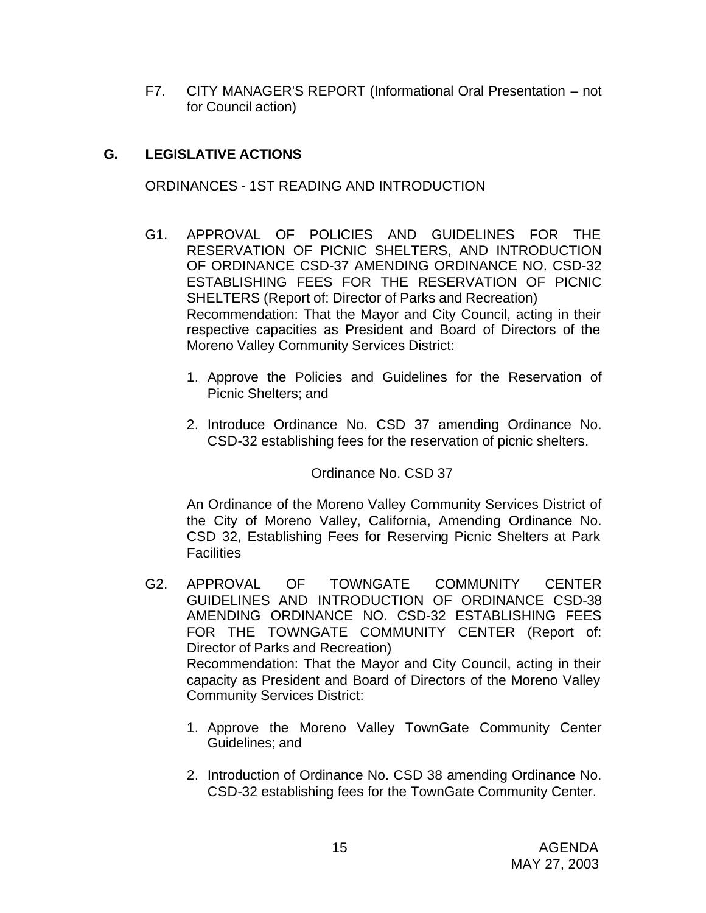F7. CITY MANAGER'S REPORT (Informational Oral Presentation – not for Council action)

# **G. LEGISLATIVE ACTIONS**

ORDINANCES - 1ST READING AND INTRODUCTION

- G1. APPROVAL OF POLICIES AND GUIDELINES FOR THE RESERVATION OF PICNIC SHELTERS, AND INTRODUCTION OF ORDINANCE CSD-37 AMENDING ORDINANCE NO. CSD-32 ESTABLISHING FEES FOR THE RESERVATION OF PICNIC SHELTERS (Report of: Director of Parks and Recreation) Recommendation: That the Mayor and City Council, acting in their respective capacities as President and Board of Directors of the Moreno Valley Community Services District:
	- 1. Approve the Policies and Guidelines for the Reservation of Picnic Shelters; and
	- 2. Introduce Ordinance No. CSD 37 amending Ordinance No. CSD-32 establishing fees for the reservation of picnic shelters.

Ordinance No. CSD 37

An Ordinance of the Moreno Valley Community Services District of the City of Moreno Valley, California, Amending Ordinance No. CSD 32, Establishing Fees for Reserving Picnic Shelters at Park **Facilities** 

- G2. APPROVAL OF TOWNGATE COMMUNITY CENTER GUIDELINES AND INTRODUCTION OF ORDINANCE CSD-38 AMENDING ORDINANCE NO. CSD-32 ESTABLISHING FEES FOR THE TOWNGATE COMMUNITY CENTER (Report of: Director of Parks and Recreation) Recommendation: That the Mayor and City Council, acting in their capacity as President and Board of Directors of the Moreno Valley Community Services District:
	- 1. Approve the Moreno Valley TownGate Community Center Guidelines; and
	- 2. Introduction of Ordinance No. CSD 38 amending Ordinance No. CSD-32 establishing fees for the TownGate Community Center.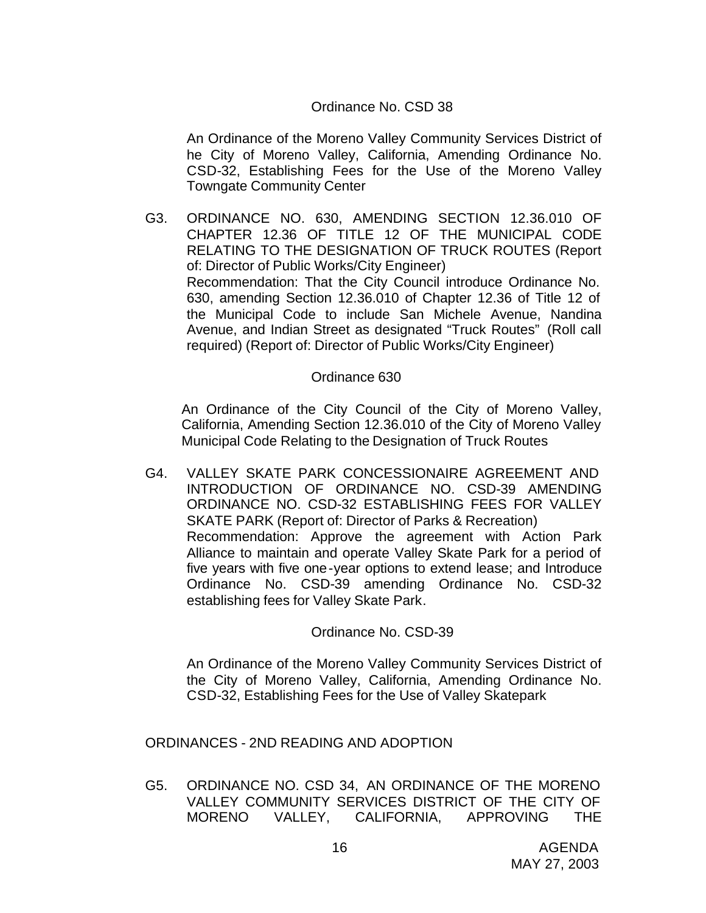# Ordinance No. CSD 38

An Ordinance of the Moreno Valley Community Services District of he City of Moreno Valley, California, Amending Ordinance No. CSD-32, Establishing Fees for the Use of the Moreno Valley Towngate Community Center

G3. ORDINANCE NO. 630, AMENDING SECTION 12.36.010 OF CHAPTER 12.36 OF TITLE 12 OF THE MUNICIPAL CODE RELATING TO THE DESIGNATION OF TRUCK ROUTES (Report of: Director of Public Works/City Engineer) Recommendation: That the City Council introduce Ordinance No. 630, amending Section 12.36.010 of Chapter 12.36 of Title 12 of the Municipal Code to include San Michele Avenue, Nandina Avenue, and Indian Street as designated "Truck Routes" (Roll call required) (Report of: Director of Public Works/City Engineer)

### Ordinance 630

An Ordinance of the City Council of the City of Moreno Valley, California, Amending Section 12.36.010 of the City of Moreno Valley Municipal Code Relating to the Designation of Truck Routes

G4. VALLEY SKATE PARK CONCESSIONAIRE AGREEMENT AND INTRODUCTION OF ORDINANCE NO. CSD-39 AMENDING ORDINANCE NO. CSD-32 ESTABLISHING FEES FOR VALLEY SKATE PARK (Report of: Director of Parks & Recreation) Recommendation: Approve the agreement with Action Park Alliance to maintain and operate Valley Skate Park for a period of five years with five one-year options to extend lease; and Introduce Ordinance No. CSD-39 amending Ordinance No. CSD-32 establishing fees for Valley Skate Park.

Ordinance No. CSD-39

An Ordinance of the Moreno Valley Community Services District of the City of Moreno Valley, California, Amending Ordinance No. CSD-32, Establishing Fees for the Use of Valley Skatepark

ORDINANCES - 2ND READING AND ADOPTION

G5. ORDINANCE NO. CSD 34, AN ORDINANCE OF THE MORENO VALLEY COMMUNITY SERVICES DISTRICT OF THE CITY OF MORENO VALLEY, CALIFORNIA, APPROVING THE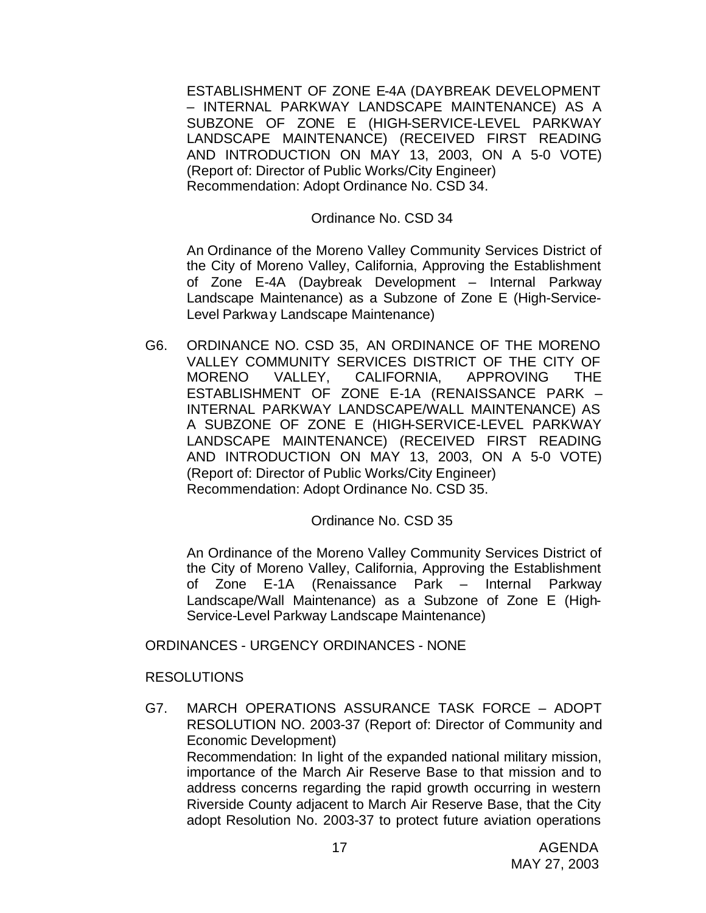ESTABLISHMENT OF ZONE E-4A (DAYBREAK DEVELOPMENT – INTERNAL PARKWAY LANDSCAPE MAINTENANCE) AS A SUBZONE OF ZONE E (HIGH-SERVICE-LEVEL PARKWAY LANDSCAPE MAINTENANCE) (RECEIVED FIRST READING AND INTRODUCTION ON MAY 13, 2003, ON A 5-0 VOTE) (Report of: Director of Public Works/City Engineer) Recommendation: Adopt Ordinance No. CSD 34.

### Ordinance No. CSD 34

An Ordinance of the Moreno Valley Community Services District of the City of Moreno Valley, California, Approving the Establishment of Zone E-4A (Daybreak Development – Internal Parkway Landscape Maintenance) as a Subzone of Zone E (High-Service-Level Parkway Landscape Maintenance)

G6. ORDINANCE NO. CSD 35, AN ORDINANCE OF THE MORENO VALLEY COMMUNITY SERVICES DISTRICT OF THE CITY OF MORENO VALLEY, CALIFORNIA, APPROVING THE ESTABLISHMENT OF ZONE E-1A (RENAISSANCE PARK – INTERNAL PARKWAY LANDSCAPE/WALL MAINTENANCE) AS A SUBZONE OF ZONE E (HIGH-SERVICE-LEVEL PARKWAY LANDSCAPE MAINTENANCE) (RECEIVED FIRST READING AND INTRODUCTION ON MAY 13, 2003, ON A 5-0 VOTE) (Report of: Director of Public Works/City Engineer) Recommendation: Adopt Ordinance No. CSD 35.

# Ordinance No. CSD 35

An Ordinance of the Moreno Valley Community Services District of the City of Moreno Valley, California, Approving the Establishment of Zone E-1A (Renaissance Park – Internal Parkway Landscape/Wall Maintenance) as a Subzone of Zone E (High-Service-Level Parkway Landscape Maintenance)

#### ORDINANCES - URGENCY ORDINANCES - NONE

# RESOLUTIONS

G7. MARCH OPERATIONS ASSURANCE TASK FORCE – ADOPT RESOLUTION NO. 2003-37 (Report of: Director of Community and Economic Development) Recommendation: In light of the expanded national military mission, importance of the March Air Reserve Base to that mission and to address concerns regarding the rapid growth occurring in western Riverside County adjacent to March Air Reserve Base, that the City adopt Resolution No. 2003-37 to protect future aviation operations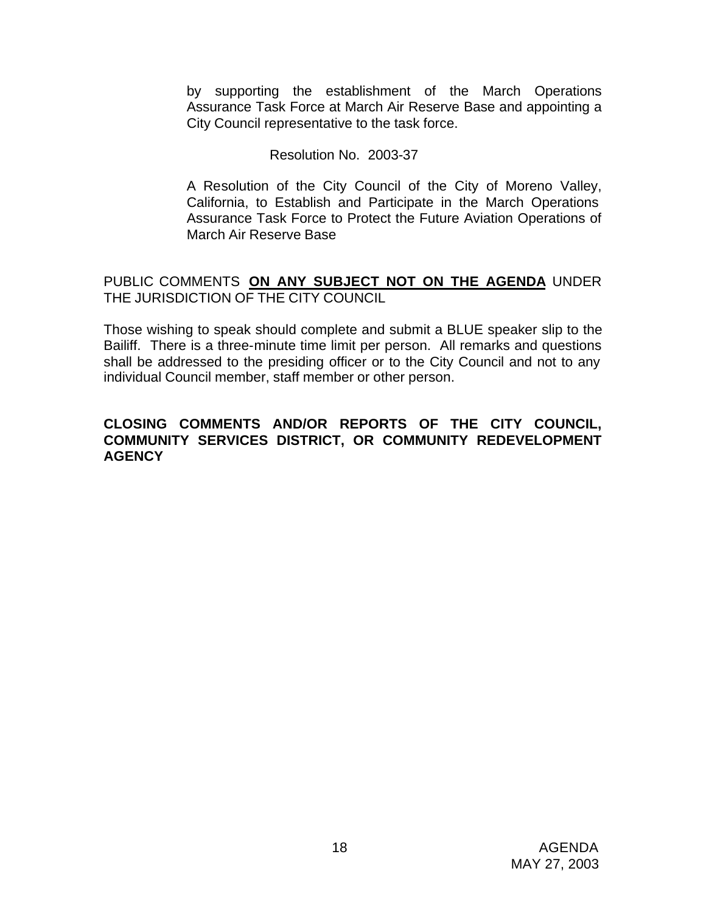by supporting the establishment of the March Operations Assurance Task Force at March Air Reserve Base and appointing a City Council representative to the task force.

### Resolution No. 2003-37

A Resolution of the City Council of the City of Moreno Valley, California, to Establish and Participate in the March Operations Assurance Task Force to Protect the Future Aviation Operations of March Air Reserve Base

# PUBLIC COMMENTS **ON ANY SUBJECT NOT ON THE AGENDA** UNDER THE JURISDICTION OF THE CITY COUNCIL

Those wishing to speak should complete and submit a BLUE speaker slip to the Bailiff. There is a three-minute time limit per person. All remarks and questions shall be addressed to the presiding officer or to the City Council and not to any individual Council member, staff member or other person.

# **CLOSING COMMENTS AND/OR REPORTS OF THE CITY COUNCIL, COMMUNITY SERVICES DISTRICT, OR COMMUNITY REDEVELOPMENT AGENCY**